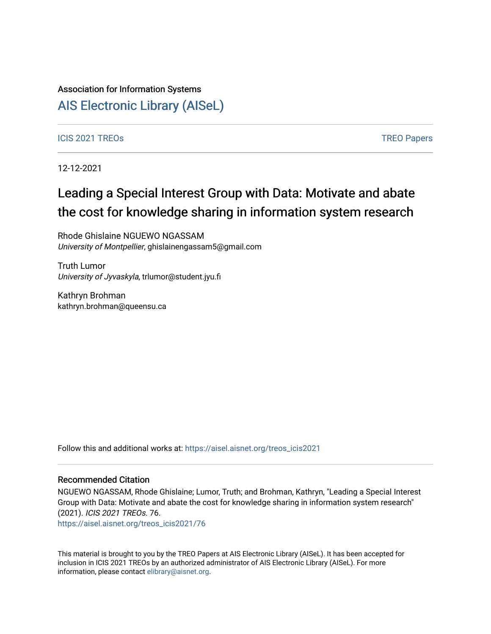## Association for Information Systems

# [AIS Electronic Library \(AISeL\)](https://aisel.aisnet.org/)

### [ICIS 2021 TREOs](https://aisel.aisnet.org/treos_icis2021) [TREO Papers](https://aisel.aisnet.org/treos) And TREO Papers And TREO Papers And TREO Papers And TREO Papers

12-12-2021

# Leading a Special Interest Group with Data: Motivate and abate the cost for knowledge sharing in information system research

Rhode Ghislaine NGUEWO NGASSAM University of Montpellier, ghislainengassam5@gmail.com

Truth Lumor University of Jyvaskyla, trlumor@student.jyu.fi

Kathryn Brohman kathryn.brohman@queensu.ca

Follow this and additional works at: [https://aisel.aisnet.org/treos\\_icis2021](https://aisel.aisnet.org/treos_icis2021?utm_source=aisel.aisnet.org%2Ftreos_icis2021%2F76&utm_medium=PDF&utm_campaign=PDFCoverPages) 

#### Recommended Citation

NGUEWO NGASSAM, Rhode Ghislaine; Lumor, Truth; and Brohman, Kathryn, "Leading a Special Interest Group with Data: Motivate and abate the cost for knowledge sharing in information system research" (2021). ICIS 2021 TREOs. 76.

[https://aisel.aisnet.org/treos\\_icis2021/76](https://aisel.aisnet.org/treos_icis2021/76?utm_source=aisel.aisnet.org%2Ftreos_icis2021%2F76&utm_medium=PDF&utm_campaign=PDFCoverPages) 

This material is brought to you by the TREO Papers at AIS Electronic Library (AISeL). It has been accepted for inclusion in ICIS 2021 TREOs by an authorized administrator of AIS Electronic Library (AISeL). For more information, please contact [elibrary@aisnet.org.](mailto:elibrary@aisnet.org%3E)